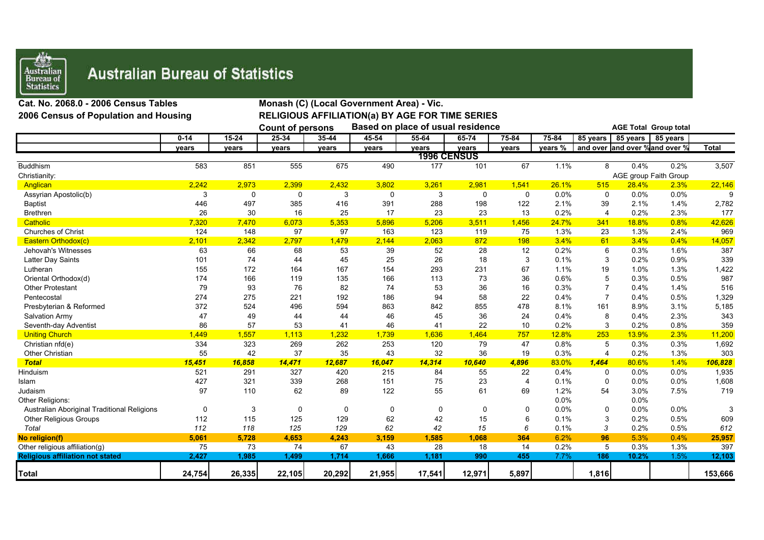

## **Australian Bureau of Statistics**

| Cat. No. 2068.0 - 2006 Census Tables        |          | Monash (C) (Local Government Area) - Vic.                    |             |           |           |                                                        |                    |                |                              |                                |          |                       |              |  |
|---------------------------------------------|----------|--------------------------------------------------------------|-------------|-----------|-----------|--------------------------------------------------------|--------------------|----------------|------------------------------|--------------------------------|----------|-----------------------|--------------|--|
| 2006 Census of Population and Housing       |          |                                                              |             |           |           | <b>RELIGIOUS AFFILIATION(a) BY AGE FOR TIME SERIES</b> |                    |                |                              |                                |          |                       |              |  |
|                                             |          | Based on place of usual residence<br><b>Count of persons</b> |             |           |           |                                                        |                    |                | <b>AGE Total Group total</b> |                                |          |                       |              |  |
|                                             | $0 - 14$ | $15 - 24$                                                    | $25 - 34$   | $35 - 44$ | $45 - 54$ | $55 - 64$                                              | $65 - 74$          | 75-84          | $75 - 84$                    | 85 years                       | 85 years | 85 years              |              |  |
|                                             | years    | years                                                        | years       | years     | years     | vears                                                  | years              | years          | years %                      | and over and over % and over % |          |                       | <b>Total</b> |  |
|                                             |          |                                                              |             |           |           |                                                        | <b>1996 CENSUS</b> |                |                              |                                |          |                       |              |  |
| <b>Buddhism</b>                             | 583      | 851                                                          | 555         | 675       | 490       | 177                                                    | 101                | 67             | 1.1%                         | 8                              | 0.4%     | 0.2%                  | 3,507        |  |
| Christianity:                               |          |                                                              |             |           |           |                                                        |                    |                |                              |                                |          | AGE group Faith Group |              |  |
| Anglican                                    | 2,242    | 2,973                                                        | 2,399       | 2,432     | 3,802     | 3,261                                                  | 2,981              | 1,541          | 26.1%                        | 515                            | 28.4%    | 2.3%                  | 22,146       |  |
| Assyrian Apostolic(b)                       | 3        | 0                                                            | 0           | 3         | 0         | 3                                                      | 0                  | 0              | 0.0%                         | 0                              | 0.0%     | 0.0%                  | 9            |  |
| <b>Baptist</b>                              | 446      | 497                                                          | 385         | 416       | 391       | 288                                                    | 198                | 122            | 2.1%                         | 39                             | 2.1%     | 1.4%                  | 2,782        |  |
| <b>Brethren</b>                             | 26       | 30                                                           | 16          | 25        | 17        | 23                                                     | 23                 | 13             | 0.2%                         | $\overline{\mathbf{4}}$        | 0.2%     | 2.3%                  | 177          |  |
| Catholic                                    | 7,320    | 7,470                                                        | 6,073       | 5,353     | 5,896     | 5,206                                                  | 3,511              | 1,456          | 24.7%                        | 341                            | 18.8%    | 0.8%                  | 42,626       |  |
| <b>Churches of Christ</b>                   | 124      | 148                                                          | 97          | 97        | 163       | 123                                                    | 119                | 75             | 1.3%                         | 23                             | 1.3%     | 2.4%                  | 969          |  |
| Eastern Orthodox(c)                         | 2,101    | 2,342                                                        | 2,797       | 1,479     | 2,144     | 2,063                                                  | 872                | 198            | 3.4%                         | 61                             | 3.4%     | 0.4%                  | 14,057       |  |
| Jehovah's Witnesses                         | 63       | 66                                                           | 68          | 53        | 39        | 52                                                     | 28                 | 12             | 0.2%                         | 6                              | 0.3%     | 1.6%                  | 387          |  |
| Latter Day Saints                           | 101      | 74                                                           | 44          | 45        | 25        | 26                                                     | 18                 | 3              | 0.1%                         | 3                              | 0.2%     | 0.9%                  | 339          |  |
| Lutheran                                    | 155      | 172                                                          | 164         | 167       | 154       | 293                                                    | 231                | 67             | 1.1%                         | 19                             | 1.0%     | 1.3%                  | 1,422        |  |
| Oriental Orthodox(d)                        | 174      | 166                                                          | 119         | 135       | 166       | 113                                                    | 73                 | 36             | 0.6%                         | 5                              | 0.3%     | 0.5%                  | 987          |  |
| <b>Other Protestant</b>                     | 79       | 93                                                           | 76          | 82        | 74        | 53                                                     | 36                 | 16             | 0.3%                         |                                | 0.4%     | 1.4%                  | 516          |  |
| Pentecostal                                 | 274      | 275                                                          | 221         | 192       | 186       | 94                                                     | 58                 | 22             | 0.4%                         | 7                              | 0.4%     | 0.5%                  | 1,329        |  |
| Presbyterian & Reformed                     | 372      | 524                                                          | 496         | 594       | 863       | 842                                                    | 855                | 478            | 8.1%                         | 161                            | 8.9%     | 3.1%                  | 5,185        |  |
| Salvation Army                              | 47       | 49                                                           | 44          | 44        | 46        | 45                                                     | 36                 | 24             | 0.4%                         | 8                              | 0.4%     | 2.3%                  | 343          |  |
| Seventh-day Adventist                       | 86       | 57                                                           | 53          | 41        | 46        | 41                                                     | 22                 | 10             | 0.2%                         | 3                              | 0.2%     | 0.8%                  | 359          |  |
| <b>Uniting Church</b>                       | 1,449    | 1,557                                                        | 1,113       | 1,232     | 1,739     | 1,636                                                  | 1,464              | 757            | 12.8%                        | 253                            | 13.9%    | 2.3%                  | 11,200       |  |
| Christian nfd(e)                            | 334      | 323                                                          | 269         | 262       | 253       | 120                                                    | 79                 | 47             | 0.8%                         | 5                              | 0.3%     | 0.3%                  | 1,692        |  |
| Other Christian                             | 55       | 42                                                           | 37          | 35        | 43        | 32                                                     | 36                 | 19             | 0.3%                         | 4                              | 0.2%     | 1.3%                  | 303          |  |
| <b>Total</b>                                | 15,451   | 16,858                                                       | 14,471      | 12,687    | 16,047    | 14,314                                                 | 10,640             | 4,896          | 83.0%                        | 1,464                          | 80.6%    | 1.4%                  | 106,828      |  |
| Hinduism                                    | 521      | 291                                                          | 327         | 420       | 215       | 84                                                     | 55                 | 22             | 0.4%                         | 0                              | 0.0%     | 0.0%                  | 1,935        |  |
| Islam                                       | 427      | 321                                                          | 339         | 268       | 151       | 75                                                     | 23                 | $\overline{4}$ | 0.1%                         | 0                              | 0.0%     | 0.0%                  | 1,608        |  |
| Judaism                                     | 97       | 110                                                          | 62          | 89        | 122       | 55                                                     | 61                 | 69             | 1.2%                         | 54                             | 3.0%     | 7.5%                  | 719          |  |
| Other Religions:                            |          |                                                              |             |           |           |                                                        |                    |                | 0.0%                         |                                | 0.0%     |                       |              |  |
| Australian Aboriginal Traditional Religions | 0        | 3                                                            | $\mathbf 0$ | 0         | 0         | $\Omega$                                               | 0                  | 0              | 0.0%                         | 0                              | 0.0%     | 0.0%                  |              |  |
| Other Religious Groups                      | 112      | 115                                                          | 125         | 129       | 62        | 42                                                     | 15                 | 6              | 0.1%                         | 3                              | 0.2%     | 0.5%                  | 609          |  |
| Total                                       | 112      | 118                                                          | 125         | 129       | 62        | 42                                                     | 15                 | 6              | 0.1%                         | 3                              | 0.2%     | 0.5%                  | 612          |  |
| No religion(f)                              | 5,061    | 5,728                                                        | 4,653       | 4,243     | 3,159     | 1,585                                                  | 1,068              | 364            | 6.2%                         | 96                             | 5.3%     | 0.4%                  | 25,957       |  |
| Other religious affiliation(g)              | 75       | 73                                                           | 74          | 67        | 43        | 28                                                     | 18                 | 14             | 0.2%                         | 5                              | 0.3%     | 1.3%                  | 397          |  |
| <b>Religious affiliation not stated</b>     | 2,427    | 1,985                                                        | 1,499       | 1,714     | 1,666     | 1,181                                                  | 990                | 455            | 7.7%                         | 186                            | 10.2%    | 1.5%                  | 12,103       |  |
| Total                                       | 24,754   | 26,335                                                       | 22,105      | 20,292    | 21,955    | 17,541                                                 | 12,971             | 5,897          |                              | 1,816                          |          |                       | 153,666      |  |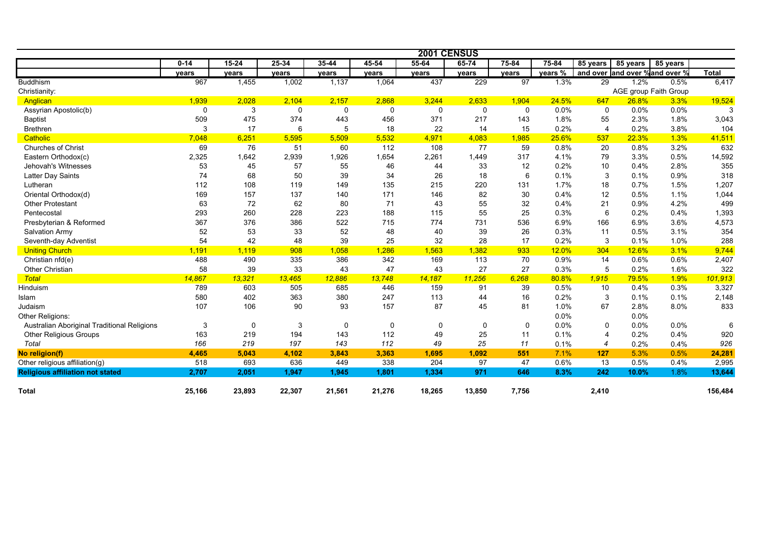|                                             |          |           |           |           |           |             | 2001 CENSUS |                 |           |                 |          |                                |              |
|---------------------------------------------|----------|-----------|-----------|-----------|-----------|-------------|-------------|-----------------|-----------|-----------------|----------|--------------------------------|--------------|
|                                             | $0 - 14$ | $15 - 24$ | $25 - 34$ | $35 - 44$ | $45 - 54$ | $55 - 64$   | $65 - 74$   | $75 - 84$       | $75 - 84$ | 85 years        | 85 years | 85 years                       |              |
|                                             | vears    | years     | years     | years     | years     | years       | years       | years           | vears %   |                 |          | and over and over % and over % | <b>Total</b> |
| <b>Buddhism</b>                             | 967      | 1,455     | 1,002     | 1,137     | 1,064     | 437         | 229         | $\overline{97}$ | 1.3%      | $\overline{29}$ | 1.2%     | 0.5%                           | 6,417        |
| Christianity:                               |          |           |           |           |           |             |             |                 |           |                 |          | AGE group Faith Group          |              |
| Anglican                                    | 1,939    | 2,028     | 2,104     | 2,157     | 2,868     | 3,244       | 2,633       | 1,904           | 24.5%     | 647             | 26.8%    | 3.3%                           | 19,524       |
| Assyrian Apostolic(b)                       | $\Omega$ | 3         | 0         | 0         | 0         | $\mathbf 0$ | $\Omega$    | $\mathsf{O}$    | 0.0%      | 0               | 0.0%     | 0.0%                           | 3            |
| <b>Baptist</b>                              | 509      | 475       | 374       | 443       | 456       | 371         | 217         | 143             | 1.8%      | 55              | 2.3%     | 1.8%                           | 3,043        |
| <b>Brethren</b>                             | 3        | 17        | 6         | 5         | 18        | 22          | 14          | 15              | 0.2%      | $\overline{4}$  | 0.2%     | 3.8%                           | 104          |
| Catholic                                    | 7,048    | 6,251     | 5,595     | 5,509     | 5,532     | 4,971       | 4,083       | 1,985           | 25.6%     | 537             | 22.3%    | 1.3%                           | 41,511       |
| <b>Churches of Christ</b>                   | 69       | 76        | 51        | 60        | 112       | 108         | 77          | 59              | 0.8%      | 20              | 0.8%     | 3.2%                           | 632          |
| Eastern Orthodox(c)                         | 2,325    | 1,642     | 2,939     | 1,926     | 1,654     | 2,261       | 1,449       | 317             | 4.1%      | 79              | 3.3%     | 0.5%                           | 14,592       |
| Jehovah's Witnesses                         | 53       | 45        | 57        | 55        | 46        | 44          | 33          | 12              | 0.2%      | 10              | 0.4%     | 2.8%                           | 355          |
| Latter Day Saints                           | 74       | 68        | 50        | 39        | 34        | 26          | 18          | 6               | 0.1%      | 3               | 0.1%     | 0.9%                           | 318          |
| Lutheran                                    | 112      | 108       | 119       | 149       | 135       | 215         | 220         | 131             | 1.7%      | 18              | 0.7%     | 1.5%                           | 1,207        |
| Oriental Orthodox(d)                        | 169      | 157       | 137       | 140       | 171       | 146         | 82          | 30              | 0.4%      | 12              | 0.5%     | 1.1%                           | 1,044        |
| <b>Other Protestant</b>                     | 63       | 72        | 62        | 80        | 71        | 43          | 55          | 32              | 0.4%      | 21              | 0.9%     | 4.2%                           | 499          |
| Pentecostal                                 | 293      | 260       | 228       | 223       | 188       | 115         | 55          | 25              | 0.3%      | 6               | 0.2%     | 0.4%                           | 1,393        |
| Presbyterian & Reformed                     | 367      | 376       | 386       | 522       | 715       | 774         | 731         | 536             | 6.9%      | 166             | 6.9%     | 3.6%                           | 4,573        |
| Salvation Army                              | 52       | 53        | 33        | 52        | 48        | 40          | 39          | 26              | 0.3%      | 11              | 0.5%     | 3.1%                           | 354          |
| Seventh-day Adventist                       | 54       | 42        | 48        | 39        | 25        | 32          | 28          | 17              | 0.2%      | 3               | 0.1%     | 1.0%                           | 288          |
| <b>Uniting Church</b>                       | 1,191    | 1,119     | 908       | 1,058     | 1,286     | 1,563       | 1,382       | 933             | 12.0%     | 304             | 12.6%    | 3.1%                           | 9,744        |
| Christian nfd(e)                            | 488      | 490       | 335       | 386       | 342       | 169         | 113         | 70              | 0.9%      | 14              | 0.6%     | 0.6%                           | 2,407        |
| <b>Other Christian</b>                      | 58       | 39        | 33        | 43        | 47        | 43          | 27          | 27              | 0.3%      | 5               | 0.2%     | 1.6%                           | 322          |
| <b>Total</b>                                | 14,867   | 13,321    | 13,465    | 12,886    | 13,748    | 14,187      | 11,256      | 6,268           | 80.8%     | 1,915           | 79.5%    | 1.9%                           | 101,913      |
| Hinduism                                    | 789      | 603       | 505       | 685       | 446       | 159         | 91          | 39              | 0.5%      | 10              | 0.4%     | 0.3%                           | 3,327        |
| Islam                                       | 580      | 402       | 363       | 380       | 247       | 113         | 44          | 16              | 0.2%      | 3               | 0.1%     | 0.1%                           | 2,148        |
| Judaism                                     | 107      | 106       | 90        | 93        | 157       | 87          | 45          | 81              | 1.0%      | 67              | 2.8%     | 8.0%                           | 833          |
| Other Religions:                            |          |           |           |           |           |             |             |                 | 0.0%      |                 | $0.0\%$  |                                |              |
| Australian Aboriginal Traditional Religions | 3        | $\Omega$  | 3         | 0         | 0         | 0           | 0           | $\mathbf 0$     | 0.0%      | $\Omega$        | 0.0%     | 0.0%                           | 6            |
| <b>Other Religious Groups</b>               | 163      | 219       | 194       | 143       | 112       | 49          | 25          | 11              | 0.1%      | Δ               | 0.2%     | 0.4%                           | 920          |
| Total                                       | 166      | 219       | 197       | 143       | 112       | 49          | 25          | 11              | 0.1%      | 4               | 0.2%     | 0.4%                           | 926          |
| No religion(f)                              | 4,465    | 5,043     | 4,102     | 3,843     | 3,363     | 1,695       | 1,092       | 551             | 7.1%      | 127             | 5.3%     | 0.5%                           | 24,281       |
| Other religious affiliation(g)              | 518      | 693       | 636       | 449       | 338       | 204         | 97          | 47              | 0.6%      | 13              | 0.5%     | 0.4%                           | 2,995        |
| <b>Religious affiliation not stated</b>     | 2,707    | 2,051     | 1,947     | 1,945     | 1,801     | 1,334       | 971         | 646             | 8.3%      | 242             | 10.0%    | 1.8%                           | 13,644       |
| <b>Total</b>                                | 25,166   | 23,893    | 22,307    | 21,561    | 21,276    | 18,265      | 13,850      | 7,756           |           | 2,410           |          |                                | 156,484      |